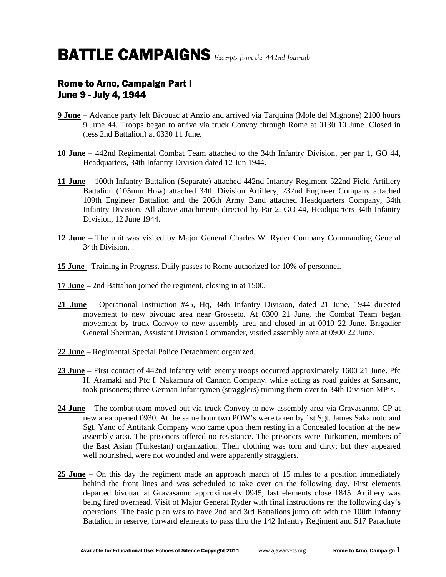### Rome to Arno, Campaign Part I June 9 - July 4, 1944

- **9 June** Advance party left Bivouac at Anzio and arrived via Tarquina (Mole del Mignone) 2100 hours 9 June 44. Troops began to arrive via truck Convoy through Rome at 0130 10 June. Closed in (less 2nd Battalion) at 0330 11 June.
- **10 June** 442nd Regimental Combat Team attached to the 34th Infantry Division, per par 1, GO 44, Headquarters, 34th Infantry Division dated 12 Jun 1944.
- **11 June** 100th Infantry Battalion (Separate) attached 442nd Infantry Regiment 522nd Field Artillery Battalion (105mm How) attached 34th Division Artillery, 232nd Engineer Company attached 109th Engineer Battalion and the 206th Army Band attached Headquarters Company, 34th Infantry Division. All above attachments directed by Par 2, GO 44, Headquarters 34th Infantry Division, 12 June 1944.
- **12 June** The unit was visited by Major General Charles W. Ryder Company Commanding General 34th Division.
- **15 June**  Training in Progress. Daily passes to Rome authorized for 10% of personnel.
- **17 June** 2nd Battalion joined the regiment, closing in at 1500.
- **21 June** Operational Instruction #45, Hq, 34th Infantry Division, dated 21 June, 1944 directed movement to new bivouac area near Grosseto. At 0300 21 June, the Combat Team began movement by truck Convoy to new assembly area and closed in at 0010 22 June. Brigadier General Sherman, Assistant Division Commander, visited assembly area at 0900 22 June.
- **22 June** Regimental Special Police Detachment organized.
- **23 June** First contact of 442nd Infantry with enemy troops occurred approximately 1600 21 June. Pfc H. Aramaki and Pfc I. Nakamura of Cannon Company, while acting as road guides at Sansano, took prisoners; three German Infantrymen (stragglers) turning them over to 34th Division MP's.
- **24 June** The combat team moved out via truck Convoy to new assembly area via Gravasanno. CP at new area opened 0930. At the same hour two POW's were taken by 1st Sgt. James Sakamoto and Sgt. Yano of Antitank Company who came upon them resting in a Concealed location at the new assembly area. The prisoners offered no resistance. The prisoners were Turkomen, members of the East Asian (Turkestan) organization. Their clothing was torn and dirty; but they appeared well nourished, were not wounded and were apparently stragglers.
- **25 June** On this day the regiment made an approach march of 15 miles to a position immediately behind the front lines and was scheduled to take over on the following day. First elements departed bivouac at Gravasanno approximately 0945, last elements close 1845. Artillery was being fired overhead. Visit of Major General Ryder with final instructions re: the following day's operations. The basic plan was to have 2nd and 3rd Battalions jump off with the 100th Infantry Battalion in reserve, forward elements to pass thru the 142 Infantry Regiment and 517 Parachute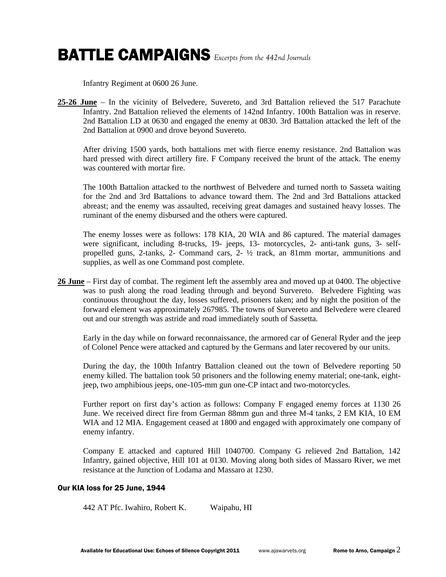Infantry Regiment at 0600 26 June.

**25-26 June** – In the vicinity of Belvedere, Suvereto, and 3rd Battalion relieved the 517 Parachute Infantry. 2nd Battalion relieved the elements of 142nd Infantry. 100th Battalion was in reserve. 2nd Battalion LD at 0630 and engaged the enemy at 0830. 3rd Battalion attacked the left of the 2nd Battalion at 0900 and drove beyond Suvereto.

After driving 1500 yards, both battalions met with fierce enemy resistance. 2nd Battalion was hard pressed with direct artillery fire. F Company received the brunt of the attack. The enemy was countered with mortar fire.

The 100th Battalion attacked to the northwest of Belvedere and turned north to Sasseta waiting for the 2nd and 3rd Battalions to advance toward them. The 2nd and 3rd Battalions attacked abreast; and the enemy was assaulted, receiving great damages and sustained heavy losses. The ruminant of the enemy disbursed and the others were captured.

The enemy losses were as follows: 178 KIA, 20 WIA and 86 captured. The material damages were significant, including 8-trucks, 19- jeeps, 13- motorcycles, 2- anti-tank guns, 3- selfpropelled guns, 2-tanks, 2- Command cars, 2- ½ track, an 81mm mortar, ammunitions and supplies, as well as one Command post complete.

**26 June** – First day of combat. The regiment left the assembly area and moved up at 0400. The objective was to push along the road leading through and beyond Survereto. Belvedere Fighting was continuous throughout the day, losses suffered, prisoners taken; and by night the position of the forward element was approximately 267985. The towns of Survereto and Belvedere were cleared out and our strength was astride and road immediately south of Sassetta.

Early in the day while on forward reconnaissance, the armored car of General Ryder and the jeep of Colonel Pence were attacked and captured by the Germans and later recovered by our units.

During the day, the 100th Infantry Battalion cleaned out the town of Belvedere reporting 50 enemy killed. The battalion took 50 prisoners and the following enemy material; one-tank, eightjeep, two amphibious jeeps, one-105-mm gun one-CP intact and two-motorcycles.

Further report on first day's action as follows: Company F engaged enemy forces at 1130 26 June. We received direct fire from German 88mm gun and three M-4 tanks, 2 EM KIA, 10 EM WIA and 12 MIA. Engagement ceased at 1800 and engaged with approximately one company of enemy infantry.

Company E attacked and captured Hill 1040700. Company G relieved 2nd Battalion, 142 Infantry, gained objective, Hill 101 at 0130. Moving along both sides of Massaro River, we met resistance at the Junction of Lodama and Massaro at 1230.

### Our KIA loss for 25 June, 1944

442 AT Pfc. Iwahiro, Robert K. Waipahu, HI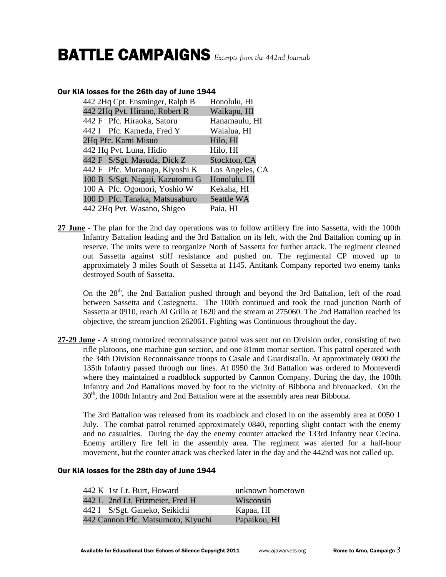### Our KIA losses for the 26th day of June 1944

| Honolulu, HI    |
|-----------------|
| Waikapu, HI     |
| Hanamaulu, HI   |
| Waialua, HI     |
| Hilo, HI        |
| Hilo, HI        |
| Stockton, CA    |
| Los Angeles, CA |
| Honolulu, HI    |
| Kekaha, HI      |
| Seattle WA      |
| Paia, HI        |
|                 |

**27 June** - The plan for the 2nd day operations was to follow artillery fire into Sassetta, with the 100th Infantry Battalion leading and the 3rd Battalion on its left, with the 2nd Battalion coming up in reserve. The units were to reorganize North of Sassetta for further attack. The regiment cleaned out Sassetta against stiff resistance and pushed on. The regimental CP moved up to approximately 3 miles South of Sassetta at 1145. Antitank Company reported two enemy tanks destroyed South of Sassetta.

On the  $28<sup>th</sup>$ , the 2nd Battalion pushed through and beyond the 3rd Battalion, left of the road between Sassetta and Castegnetta. The 100th continued and took the road junction North of Sassetta at 0910, reach Al Grillo at 1620 and the stream at 275060. The 2nd Battalion reached its objective, the stream junction 262061. Fighting was Continuous throughout the day.

**27-29 June** - A strong motorized reconnaissance patrol was sent out on Division order, consisting of two rifle platoons, one machine gun section, and one 81mm mortar section. This patrol operated with the 34th Division Reconnaissance troops to Casale and Guardistallo. At approximately 0800 the 135th Infantry passed through our lines. At 0950 the 3rd Battalion was ordered to Monteverdi where they maintained a roadblock supported by Cannon Company. During the day, the 100th Infantry and 2nd Battalions moved by foot to the vicinity of Bibbona and bivouacked. On the 30<sup>th</sup>, the 100th Infantry and 2nd Battalion were at the assembly area near Bibbona.

The 3rd Battalion was released from its roadblock and closed in on the assembly area at 0050 1 July. The combat patrol returned approximately 0840, reporting slight contact with the enemy and no casualties. During the day the enemy counter attacked the 133rd Infantry near Cecina. Enemy artillery fire fell in the assembly area. The regiment was alerted for a half-hour movement, but the counter attack was checked later in the day and the 442nd was not called up.

#### Our KIA losses for the 28th day of June 1944

| 442 K 1st Lt. Burt, Howard         | unknown hometown |
|------------------------------------|------------------|
| 442 L 2nd Lt. Frizmeier, Fred H    | Wisconsin        |
| 442 I S/Sgt. Ganeko, Seikichi      | Kapaa, HI        |
| 442 Cannon Pfc. Matsumoto, Kiyuchi | Papaikou, HI     |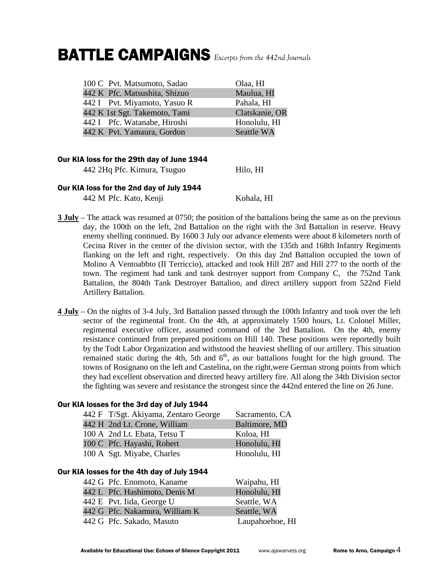| 100 C Pvt. Matsumoto, Sadao   | Olaa, HI          |
|-------------------------------|-------------------|
| 442 K Pfc. Matsushita, Shizuo | Maulua, HI        |
| 442 I Pvt. Miyamoto, Yasuo R  | Pahala, HI        |
| 442 K 1st Sgt. Takemoto, Tami | Clatskanie, OR    |
| 442 I Pfc. Watanabe, Hiroshi  | Honolulu, HI      |
| 442 K Pvt. Yamaura, Gordon    | <b>Seattle WA</b> |

### Our KIA loss for the 29th day of June 1944

442 2Hq Pfc. Kimura, Tsuguo Hilo, HI

### Our KIA loss for the 2nd day of July 1944

442 M Pfc. Kato, Kenji Kohala, HI

- **3 July** The attack was resumed at 0750; the position of the battalions being the same as on the previous day, the 100th on the left, 2nd Battalion on the right with the 3rd Battalion in reserve. Heavy enemy shelling continued. By 1600 3 July our advance elements were about 8 kilometers north of Cecina River in the center of the division sector, with the 135th and 168th Infantry Regiments flanking on the left and right, respectively. On this day 2nd Battalion occupied the town of Molino A Ventoabbto (II Terriccio), attacked and took Hill 287 and Hill 277 to the north of the town. The regiment had tank and tank destroyer support from Company C, the 752nd Tank Battalion, the 804th Tank Destroyer Battalion, and direct artillery support from 522nd Field Artillery Battalion.
- **4 July** On the nights of 3-4 July, 3rd Battalion passed through the 100th Infantry and took over the left sector of the regimental front. On the 4th, at approximately 1500 hours, Lt. Colonel Miller, regimental executive officer, assumed command of the 3rd Battalion. On the 4th, enemy resistance continued from prepared positions on Hill 140. These positions were reportedly built by the Todt Labor Organization and withstood the heaviest shelling of our artillery. This situation remained static during the 4th, 5th and  $6<sup>th</sup>$ , as our battalions fought for the high ground. The towns of Rosignano on the left and Castelina, on the right,were German strong points from which they had excellent observation and directed heavy artillery fire. All along the 34th Division sector the fighting was severe and resistance the strongest since the 442nd entered the line on 26 June.

| 442 F T/Sgt. Akiyama, Zentaro George | Sacramento, CA |
|--------------------------------------|----------------|
| 442 H 2nd Lt. Crone, William         | Baltimore, MD  |
| 100 A 2nd Lt. Ebata, Tetsu T         | Koloa, HI      |
| 100 C Pfc. Hayashi, Robert           | Honolulu, HI   |
| 100 A Sgt. Miyabe, Charles           | Honolulu, HI   |
|                                      |                |

### Our KIA losses for the 3rd day of July 1944

| 442 G Pfc. Enomoto, Kaname     | Waipahu, HI     |
|--------------------------------|-----------------|
| 442 L Pfc. Hashimoto, Denis M  | Honolulu, HI    |
| 442 E Pvt. Iida, George U      | Seattle, WA     |
| 442 G Pfc. Nakamura, William K | Seattle, WA     |
| 442 G Pfc. Sakado, Masuto      | Laupahoehoe, HI |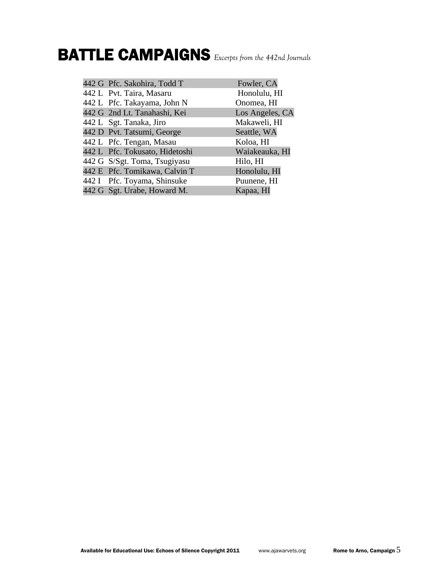| 442 G Pfc. Sakohira, Todd T    | Fowler, CA      |
|--------------------------------|-----------------|
| 442 L Pvt. Taira, Masaru       | Honolulu, HI    |
| 442 L Pfc. Takayama, John N    | Onomea, HI      |
| 442 G 2nd Lt. Tanahashi, Kei   | Los Angeles, CA |
| 442 L Sgt. Tanaka, Jiro        | Makaweli, HI    |
| 442 D Pvt. Tatsumi, George     | Seattle, WA     |
| 442 L Pfc. Tengan, Masau       | Koloa, HI       |
| 442 L Pfc. Tokusato, Hidetoshi | Waiakeauka, HI  |
| 442 G S/Sgt. Toma, Tsugiyasu   | Hilo, HI        |
| 442 E Pfc. Tomikawa, Calvin T  | Honolulu, HI    |
| 442 I Pfc. Toyama, Shinsuke    | Puunene, HI     |
| 442 G Sgt. Urabe, Howard M.    | Kapaa, HI       |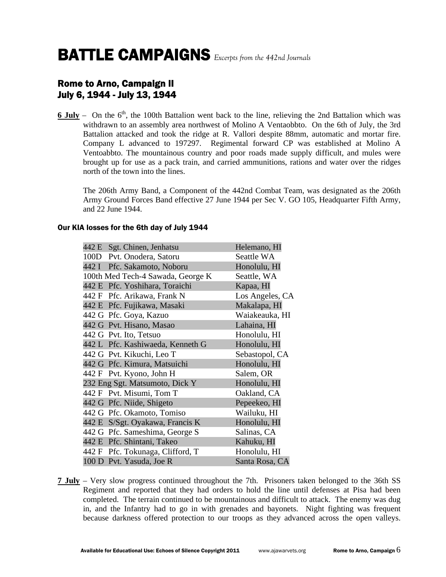### Rome to Arno, Campaign II July 6, 1944 - July 13, 1944

**6 July** – On the 6<sup>th</sup>, the 100th Battalion went back to the line, relieving the 2nd Battalion which was withdrawn to an assembly area northwest of Molino A Ventaobbto. On the 6th of July, the 3rd Battalion attacked and took the ridge at R. Vallori despite 88mm, automatic and mortar fire. Company L advanced to 197297. Regimental forward CP was established at Molino A Ventoabbto. The mountainous country and poor roads made supply difficult, and mules were brought up for use as a pack train, and carried ammunitions, rations and water over the ridges north of the town into the lines.

The 206th Army Band, a Component of the 442nd Combat Team, was designated as the 206th Army Ground Forces Band effective 27 June 1944 per Sec V. GO 105, Headquarter Fifth Army, and 22 June 1944.

#### Our KIA losses for the 6th day of July 1944

| 442 E Sgt. Chinen, Jenhatsu       | Helemano, HI    |
|-----------------------------------|-----------------|
|                                   |                 |
| 100D Pvt. Onodera, Satoru         | Seattle WA      |
| 442 I Pfc. Sakamoto, Noboru       | Honolulu, HI    |
| 100th Med Tech-4 Sawada, George K | Seattle, WA     |
| 442 E Pfc. Yoshihara, Toraichi    | Kapaa, HI       |
| 442 F Pfc. Arikawa, Frank N       | Los Angeles, CA |
| 442 E Pfc. Fujikawa, Masaki       | Makalapa, HI    |
| 442 G Pfc. Goya, Kazuo            | Waiakeauka, HI  |
| 442 G Pvt. Hisano, Masao          | Lahaina, HI     |
| 442 G Pvt. Ito, Tetsuo            | Honolulu, HI    |
| 442 L Pfc. Kashiwaeda, Kenneth G  | Honolulu, HI    |
| 442 G Pvt. Kikuchi, Leo T         | Sebastopol, CA  |
| 442 G Pfc. Kimura, Matsuichi      | Honolulu, HI    |
| 442 F Pvt. Kyono, John H          | Salem, OR       |
| 232 Eng Sgt. Matsumoto, Dick Y    | Honolulu, HI    |
| 442 F Pvt. Misumi, Tom T          | Oakland, CA     |
| 442 G Pfc. Niide, Shigeto         | Pepeekeo, HI    |
| 442 G Pfc. Okamoto, Tomiso        | Wailuku, HI     |
| 442 E S/Sgt. Oyakawa, Francis K   | Honolulu, HI    |
| 442 G Pfc. Sameshima, George S    | Salinas, CA     |
| 442 E Pfc. Shintani, Takeo        | Kahuku, HI      |
| 442 F Pfc. Tokunaga, Clifford, T  | Honolulu, HI    |
| 100 D Pvt. Yasuda, Joe R          | Santa Rosa, CA  |

**7 July** – Very slow progress continued throughout the 7th. Prisoners taken belonged to the 36th SS Regiment and reported that they had orders to hold the line until defenses at Pisa had been completed. The terrain continued to be mountainous and difficult to attack. The enemy was dug in, and the Infantry had to go in with grenades and bayonets. Night fighting was frequent because darkness offered protection to our troops as they advanced across the open valleys.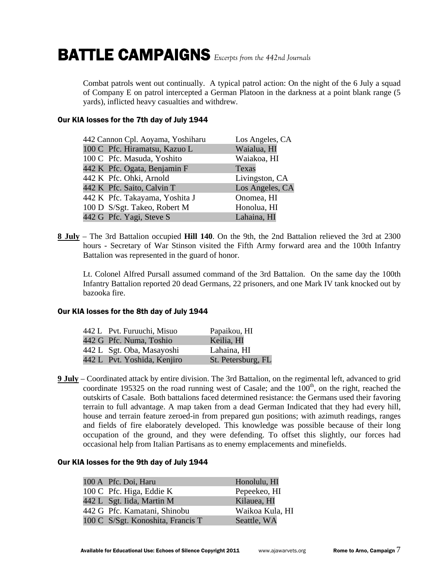Combat patrols went out continually. A typical patrol action: On the night of the 6 July a squad of Company E on patrol intercepted a German Platoon in the darkness at a point blank range (5 yards), inflicted heavy casualties and withdrew.

### Our KIA losses for the 7th day of July 1944

| 442 Cannon Cpl. Aoyama, Yoshiharu | Los Angeles, CA |
|-----------------------------------|-----------------|
| 100 C Pfc. Hiramatsu, Kazuo L     | Waialua, HI     |
| 100 C Pfc. Masuda, Yoshito        | Waiakoa, HI     |
| 442 K Pfc. Ogata, Benjamin F      | Texas           |
| 442 K Pfc. Ohki, Arnold           | Livingston, CA  |
| 442 K Pfc. Saito, Calvin T        | Los Angeles, CA |
| 442 K Pfc. Takayama, Yoshita J    | Onomea, HI      |
| 100 D S/Sgt. Takeo, Robert M      | Honolua, HI     |
| 442 G Pfc. Yagi, Steve S          | Lahaina, HI     |

**8 July** – The 3rd Battalion occupied **Hill 140**. On the 9th, the 2nd Battalion relieved the 3rd at 2300 hours - Secretary of War Stinson visited the Fifth Army forward area and the 100th Infantry Battalion was represented in the guard of honor.

Lt. Colonel Alfred Pursall assumed command of the 3rd Battalion. On the same day the 100th Infantry Battalion reported 20 dead Germans, 22 prisoners, and one Mark IV tank knocked out by bazooka fire.

### Our KIA losses for the 8th day of July 1944

| 442 L Pvt. Furuuchi, Misuo  | Papaikou, HI       |
|-----------------------------|--------------------|
| 442 G Pfc. Numa, Toshio     | Keilia, HI         |
| 442 L Sgt. Oba, Masayoshi   | Lahaina, HI        |
| 442 L Pvt. Yoshida, Kenjiro | St. Petersburg, FL |

**9 July** – Coordinated attack by entire division. The 3rd Battalion, on the regimental left, advanced to grid coordinate 195325 on the road running west of Casale; and the  $100<sup>th</sup>$ , on the right, reached the outskirts of Casale. Both battalions faced determined resistance: the Germans used their favoring terrain to full advantage. A map taken from a dead German Indicated that they had every hill, house and terrain feature zeroed-in from prepared gun positions; with azimuth readings, ranges and fields of fire elaborately developed. This knowledge was possible because of their long occupation of the ground, and they were defending. To offset this slightly, our forces had occasional help from Italian Partisans as to enemy emplacements and minefields.

#### Our KIA losses for the 9th day of July 1944

| 100 A Pfc. Doi, Haru              | Honolulu, HI    |
|-----------------------------------|-----------------|
| 100 C Pfc. Higa, Eddie K          | Pepeekeo, HI    |
| 442 L Sgt. Iida, Martin M         | Kilauea, HI     |
| 442 G Pfc. Kamatani, Shinobu      | Waikoa Kula, HI |
| 100 C S/Sgt. Konoshita, Francis T | Seattle, WA     |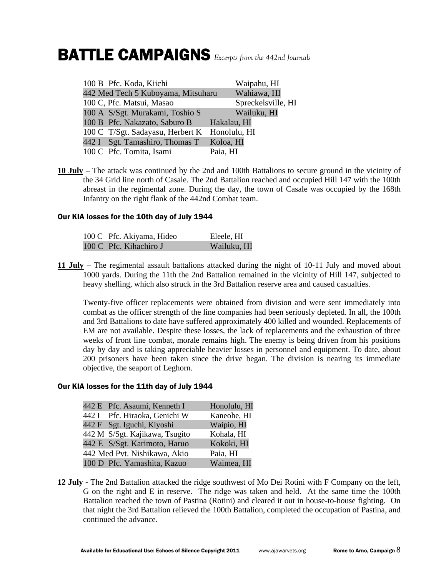| 100 B Pfc. Koda, Kiichi                       | Waipahu, HI        |
|-----------------------------------------------|--------------------|
| 442 Med Tech 5 Kuboyama, Mitsuharu            | Wahiawa, HI        |
| 100 C, Pfc. Matsui, Masao                     | Spreckelsville, HI |
| 100 A S/Sgt. Murakami, Toshio S               | Wailuku, HI        |
| 100 B Pfc. Nakazato, Saburo B                 | Hakalau, HI        |
| 100 C T/Sgt. Sadayasu, Herbert K Honolulu, HI |                    |
| 442 I Sgt. Tamashiro, Thomas T                | Koloa, HI          |
| 100 C Pfc. Tomita, Isami                      | Paia, HI           |

**10 July** – The attack was continued by the 2nd and 100th Battalions to secure ground in the vicinity of the 34 Grid line north of Casale. The 2nd Battalion reached and occupied Hill 147 with the 100th abreast in the regimental zone. During the day, the town of Casale was occupied by the 168th Infantry on the right flank of the 442nd Combat team.

### Our KIA losses for the 10th day of July 1944

| 100 C Pfc. Akiyama, Hideo | Eleele, HI  |
|---------------------------|-------------|
| 100 C Pfc. Kihachiro J    | Wailuku, HI |

**11 July** – The regimental assault battalions attacked during the night of 10-11 July and moved about 1000 yards. During the 11th the 2nd Battalion remained in the vicinity of Hill 147, subjected to heavy shelling, which also struck in the 3rd Battalion reserve area and caused casualties.

Twenty-five officer replacements were obtained from division and were sent immediately into combat as the officer strength of the line companies had been seriously depleted. In all, the 100th and 3rd Battalions to date have suffered approximately 400 killed and wounded. Replacements of EM are not available. Despite these losses, the lack of replacements and the exhaustion of three weeks of front line combat, morale remains high. The enemy is being driven from his positions day by day and is taking appreciable heavier losses in personnel and equipment. To date, about 200 prisoners have been taken since the drive began. The division is nearing its immediate objective, the seaport of Leghorn.

#### Our KIA losses for the 11th day of July 1944

| 442 E Pfc. Asaumi, Kenneth I   | Honolulu, HI |
|--------------------------------|--------------|
| 442 I Pfc. Hiraoka, Genichi W  | Kaneohe, HI  |
| 442 F Sgt. Iguchi, Kiyoshi     | Waipio, HI   |
| 442 M S/Sgt. Kajikawa, Tsugito | Kohala, HI   |
| 442 E S/Sgt. Karimoto, Haruo   | Kokoki, HI   |
| 442 Med Pvt. Nishikawa, Akio   | Paia, HI     |
| 100 D Pfc. Yamashita, Kazuo    | Waimea, HI   |

**12 July -** The 2nd Battalion attacked the ridge southwest of Mo Dei Rotini with F Company on the left, G on the right and E in reserve. The ridge was taken and held. At the same time the 100th Battalion reached the town of Pastina (Rotini) and cleared it out in house-to-house fighting. On that night the 3rd Battalion relieved the 100th Battalion, completed the occupation of Pastina, and continued the advance.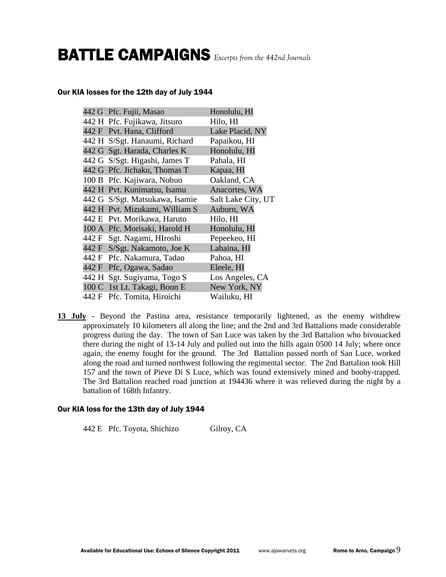#### Our KIA losses for the 12th day of July 1944

|  | 442 G Pfc. Fujii, Masao        | Honolulu, HI       |
|--|--------------------------------|--------------------|
|  | 442 H Pfc. Fujikawa, Jitsuro   | Hilo, HI           |
|  | 442 F Pvt. Hana, Clifford      | Lake Placid, NY    |
|  | 442 H S/Sgt. Hanaumi, Richard  | Papaikou, HI       |
|  | 442 G Sgt. Harada, Charles K   | Honolulu, HI       |
|  | 442 G S/Sgt. Higashi, James T  | Pahala, HI         |
|  | 442 G Pfc. Jichaku, Thomas T   | Kapaa, HI          |
|  | 100 B Pfc. Kajiwara, Nobuo     | Oakland, CA        |
|  | 442 H Pvt. Kunimatsu, Isamu    | Anacortes, WA      |
|  | 442 G S/Sgt. Matsukawa, Isamie | Salt Lake City, UT |
|  | 442 H Pvt. Mizukami, William S | Auburn, WA         |
|  | 442 E Pvt. Morikawa, Haruto    | Hilo, HI           |
|  | 100 A Pfc. Morisaki, Harold H  | Honolulu, HI       |
|  | 442 F Sgt. Nagami, HIroshi     | Pepeekeo, HI       |
|  | 442 F S/Sgt. Nakamoto, Joe K   | Lahaina, HI        |
|  | 442 F Pfc. Nakamura, Tadao     | Pahoa, HI          |
|  | 442 F Pfc, Ogawa, Sadao        | Eleele, HI         |
|  | 442 H Sgt. Sugiyama, Togo S    | Los Angeles, CA    |
|  | 100 C 1st Lt. Takagi, Boon E   | New York, NY       |
|  | 442 F Pfc. Tomita, Hiroichi    | Wailuku, HI        |

**13 July** - Beyond the Pastina area, resistance temporarily lightened, as the enemy withdrew approximately 10 kilometers all along the line; and the 2nd and 3rd Battalions made considerable progress during the day. The town of San Luce was taken by the 3rd Battalion who bivouacked there during the night of 13-14 July and pulled out into the hills again 0500 14 July; where once again, the enemy fought for the ground. The 3rd Battalion passed north of San Luce, worked along the road and turned northwest following the regimental sector. The 2nd Battalion took Hill 157 and the town of Pieve Di S Luce, which was found extensively mined and booby-trapped. The 3rd Battalion reached road junction at 194436 where it was relieved during the night by a battalion of 168th Infantry.

#### Our KIA loss for the 13th day of July 1944

442 E Pfc. Toyota, Shichizo Gilroy, CA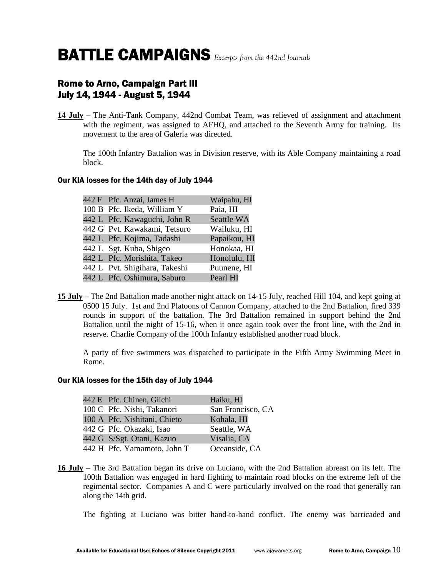### Rome to Arno, Campaign Part III July 14, 1944 - August 5, 1944

**14 July** – The Anti-Tank Company, 442nd Combat Team, was relieved of assignment and attachment with the regiment, was assigned to AFHQ, and attached to the Seventh Army for training. Its movement to the area of Galeria was directed.

 The 100th Infantry Battalion was in Division reserve, with its Able Company maintaining a road block.

### Our KIA losses for the 14th day of July 1944

|  | 442 F Pfc. Anzai, James H     | Waipahu, HI  |
|--|-------------------------------|--------------|
|  | 100 B Pfc. Ikeda, William Y   | Paia, HI     |
|  | 442 L Pfc. Kawaguchi, John R  | Seattle WA   |
|  | 442 G Pvt. Kawakami, Tetsuro  | Wailuku, HI  |
|  | 442 L Pfc. Kojima, Tadashi    | Papaikou, HI |
|  | 442 L Sgt. Kuba, Shigeo       | Honokaa, HI  |
|  | 442 L Pfc. Morishita, Takeo   | Honolulu, HI |
|  | 442 L Pvt. Shigihara, Takeshi | Puunene, HI  |
|  | 442 L Pfc. Oshimura, Saburo   | Pearl HI     |
|  |                               |              |

**15 July** – The 2nd Battalion made another night attack on 14-15 July, reached Hill 104, and kept going at 0500 15 July. 1st and 2nd Platoons of Cannon Company, attached to the 2nd Battalion, fired 339 rounds in support of the battalion. The 3rd Battalion remained in support behind the 2nd Battalion until the night of 15-16, when it once again took over the front line, with the 2nd in reserve. Charlie Company of the 100th Infantry established another road block.

 A party of five swimmers was dispatched to participate in the Fifth Army Swimming Meet in Rome.

#### Our KIA losses for the 15th day of July 1944

|  | 442 E Pfc. Chinen, Giichi    | Haiku, HI         |
|--|------------------------------|-------------------|
|  | 100 C Pfc. Nishi, Takanori   | San Francisco, CA |
|  | 100 A Pfc. Nishitani, Chieto | Kohala, HI        |
|  | 442 G Pfc. Okazaki, Isao     | Seattle, WA       |
|  | 442 G S/Sgt. Otani, Kazuo    | Visalia, CA       |
|  | 442 H Pfc. Yamamoto, John T  | Oceanside, CA     |
|  |                              |                   |

**16 July** – The 3rd Battalion began its drive on Luciano, with the 2nd Battalion abreast on its left. The 100th Battalion was engaged in hard fighting to maintain road blocks on the extreme left of the regimental sector. Companies A and C were particularly involved on the road that generally ran along the 14th grid.

The fighting at Luciano was bitter hand-to-hand conflict. The enemy was barricaded and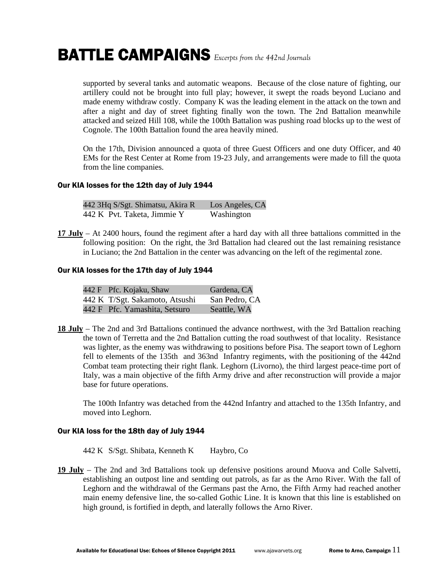supported by several tanks and automatic weapons. Because of the close nature of fighting, our artillery could not be brought into full play; however, it swept the roads beyond Luciano and made enemy withdraw costly. Company K was the leading element in the attack on the town and after a night and day of street fighting finally won the town. The 2nd Battalion meanwhile attacked and seized Hill 108, while the 100th Battalion was pushing road blocks up to the west of Cognole. The 100th Battalion found the area heavily mined.

 On the 17th, Division announced a quota of three Guest Officers and one duty Officer, and 40 EMs for the Rest Center at Rome from 19-23 July, and arrangements were made to fill the quota from the line companies.

#### Our KIA losses for the 12th day of July 1944

| 442 3Hq S/Sgt. Shimatsu, Akira R | Los Angeles, CA |
|----------------------------------|-----------------|
| 442 K Pvt. Taketa, Jimmie Y      | Washington      |

**17 July** – At 2400 hours, found the regiment after a hard day with all three battalions committed in the following position: On the right, the 3rd Battalion had cleared out the last remaining resistance in Luciano; the 2nd Battalion in the center was advancing on the left of the regimental zone.

#### Our KIA losses for the 17th day of July 1944

| 442 F Pfc. Kojaku, Shaw        | Gardena, CA   |
|--------------------------------|---------------|
| 442 K T/Sgt. Sakamoto, Atsushi | San Pedro, CA |
| 442 F Pfc. Yamashita, Setsuro  | Seattle, WA   |

**18 July** – The 2nd and 3rd Battalions continued the advance northwest, with the 3rd Battalion reaching the town of Terretta and the 2nd Battalion cutting the road southwest of that locality. Resistance was lighter, as the enemy was withdrawing to positions before Pisa. The seaport town of Leghorn fell to elements of the 135th and 363nd Infantry regiments, with the positioning of the 442nd Combat team protecting their right flank. Leghorn (Livorno), the third largest peace-time port of Italy, was a main objective of the fifth Army drive and after reconstruction will provide a major base for future operations.

 The 100th Infantry was detached from the 442nd Infantry and attached to the 135th Infantry, and moved into Leghorn.

#### Our KIA loss for the 18th day of July 1944

442 K S/Sgt. Shibata, Kenneth K Haybro, Co

**19 July** – The 2nd and 3rd Battalions took up defensive positions around Muova and Colle Salvetti, establishing an outpost line and sentding out patrols, as far as the Arno River. With the fall of Leghorn and the withdrawal of the Germans past the Arno, the Fifth Army had reached another main enemy defensive line, the so-called Gothic Line. It is known that this line is established on high ground, is fortified in depth, and laterally follows the Arno River.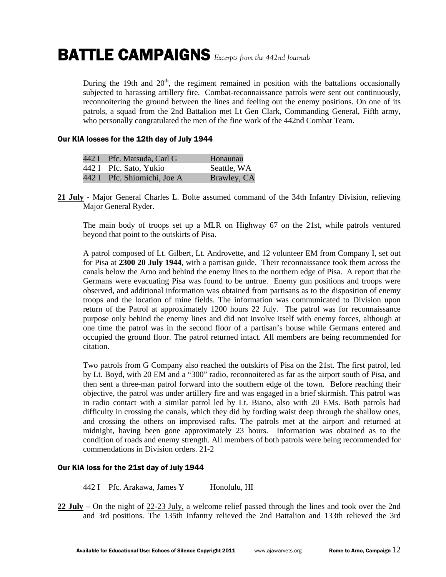During the 19th and  $20<sup>th</sup>$ , the regiment remained in position with the battalions occasionally subjected to harassing artillery fire. Combat-reconnaissance patrols were sent out continuously, reconnoitering the ground between the lines and feeling out the enemy positions. On one of its patrols, a squad from the 2nd Battalion met Lt Gen Clark, Commanding General, Fifth army, who personally congratulated the men of the fine work of the 442nd Combat Team.

#### Our KIA losses for the 12th day of July 1944

| 442 I Pfc. Matsuda, Carl G  | Honaunau    |
|-----------------------------|-------------|
| 442 I Pfc. Sato, Yukio      | Seattle, WA |
| 442 I Pfc. Shiomichi, Joe A | Brawley, CA |

**21 July** - Major General Charles L. Bolte assumed command of the 34th Infantry Division, relieving Major General Ryder.

 The main body of troops set up a MLR on Highway 67 on the 21st, while patrols ventured beyond that point to the outskirts of Pisa.

 A patrol composed of Lt. Gilbert, Lt. Androvette, and 12 volunteer EM from Company I, set out for Pisa at **2300 20 July 1944**, with a partisan guide. Their reconnaissance took them across the canals below the Arno and behind the enemy lines to the northern edge of Pisa. A report that the Germans were evacuating Pisa was found to be untrue. Enemy gun positions and troops were observed, and additional information was obtained from partisans as to the disposition of enemy troops and the location of mine fields. The information was communicated to Division upon return of the Patrol at approximately 1200 hours 22 July. The patrol was for reconnaissance purpose only behind the enemy lines and did not involve itself with enemy forces, although at one time the patrol was in the second floor of a partisan's house while Germans entered and occupied the ground floor. The patrol returned intact. All members are being recommended for citation.

 Two patrols from G Company also reached the outskirts of Pisa on the 21st. The first patrol, led by Lt. Boyd, with 20 EM and a "300" radio, reconnoitered as far as the airport south of Pisa, and then sent a three-man patrol forward into the southern edge of the town. Before reaching their objective, the patrol was under artillery fire and was engaged in a brief skirmish. This patrol was in radio contact with a similar patrol led by Lt. Biano, also with 20 EMs. Both patrols had difficulty in crossing the canals, which they did by fording waist deep through the shallow ones, and crossing the others on improvised rafts. The patrols met at the airport and returned at midnight, having been gone approximately 23 hours. Information was obtained as to the condition of roads and enemy strength. All members of both patrols were being recommended for commendations in Division orders. 21-2

#### Our KIA loss for the 21st day of July 1944

442 I Pfc. Arakawa, James Y Honolulu, HI

**22 July** – On the night of 22-23 July, a welcome relief passed through the lines and took over the 2nd and 3rd positions. The 135th Infantry relieved the 2nd Battalion and 133th relieved the 3rd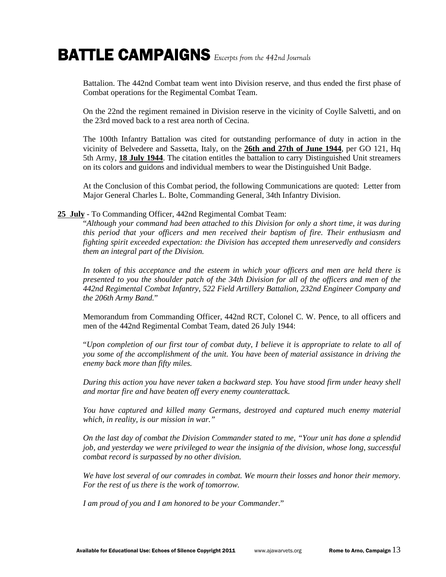Battalion. The 442nd Combat team went into Division reserve, and thus ended the first phase of Combat operations for the Regimental Combat Team.

 On the 22nd the regiment remained in Division reserve in the vicinity of Coylle Salvetti, and on the 23rd moved back to a rest area north of Cecina.

 The 100th Infantry Battalion was cited for outstanding performance of duty in action in the vicinity of Belvedere and Sassetta, Italy, on the **26th and 27th of June 1944**, per GO 121, Hq 5th Army, **18 July 1944**. The citation entitles the battalion to carry Distinguished Unit streamers on its colors and guidons and individual members to wear the Distinguished Unit Badge.

 At the Conclusion of this Combat period, the following Communications are quoted: Letter from Major General Charles L. Bolte, Commanding General, 34th Infantry Division.

#### **25 July** - To Commanding Officer, 442nd Regimental Combat Team:

 "*Although your command had been attached to this Division for only a short time, it was during this period that your officers and men received their baptism of fire. Their enthusiasm and fighting spirit exceeded expectation: the Division has accepted them unreservedly and considers them an integral part of the Division.* 

 *In token of this acceptance and the esteem in which your officers and men are held there is presented to you the shoulder patch of the 34th Division for all of the officers and men of the 442nd Regimental Combat Infantry, 522 Field Artillery Battalion, 232nd Engineer Company and the 206th Army Band.*"

 Memorandum from Commanding Officer, 442nd RCT, Colonel C. W. Pence, to all officers and men of the 442nd Regimental Combat Team, dated 26 July 1944:

 "*Upon completion of our first tour of combat duty, I believe it is appropriate to relate to all of you some of the accomplishment of the unit. You have been of material assistance in driving the enemy back more than fifty miles.* 

 *During this action you have never taken a backward step. You have stood firm under heavy shell and mortar fire and have beaten off every enemy counterattack.* 

 *You have captured and killed many Germans, destroyed and captured much enemy material which, in reality, is our mission in war."* 

 *On the last day of combat the Division Commander stated to me, "Your unit has done a splendid job, and yesterday we were privileged to wear the insignia of the division, whose long, successful combat record is surpassed by no other division.* 

 *We have lost several of our comrades in combat. We mourn their losses and honor their memory. For the rest of us there is the work of tomorrow.* 

 *I am proud of you and I am honored to be your Commander*."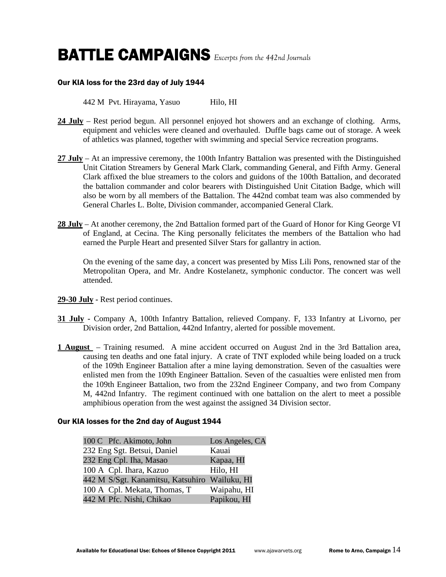### Our KIA loss for the 23rd day of July 1944

442 M Pvt. Hirayama, Yasuo Hilo, HI

- **24 July** Rest period begun. All personnel enjoyed hot showers and an exchange of clothing. Arms, equipment and vehicles were cleaned and overhauled. Duffle bags came out of storage. A week of athletics was planned, together with swimming and special Service recreation programs.
- **27 July** At an impressive ceremony, the 100th Infantry Battalion was presented with the Distinguished Unit Citation Streamers by General Mark Clark, commanding General, and Fifth Army. General Clark affixed the blue streamers to the colors and guidons of the 100th Battalion, and decorated the battalion commander and color bearers with Distinguished Unit Citation Badge, which will also be worn by all members of the Battalion. The 442nd combat team was also commended by General Charles L. Bolte, Division commander, accompanied General Clark.
- **28 July** At another ceremony, the 2nd Battalion formed part of the Guard of Honor for King George VI of England, at Cecina. The King personally felicitates the members of the Battalion who had earned the Purple Heart and presented Silver Stars for gallantry in action.

 On the evening of the same day, a concert was presented by Miss Lili Pons, renowned star of the Metropolitan Opera, and Mr. Andre Kostelanetz, symphonic conductor. The concert was well attended.

- **29-30 July -** Rest period continues.
- **31 July -** Company A, 100th Infantry Battalion, relieved Company. F, 133 Infantry at Livorno, per Division order, 2nd Battalion, 442nd Infantry, alerted for possible movement.
- **1 August**  Training resumed. A mine accident occurred on August 2nd in the 3rd Battalion area, causing ten deaths and one fatal injury. A crate of TNT exploded while being loaded on a truck of the 109th Engineer Battalion after a mine laying demonstration. Seven of the casualties were enlisted men from the 109th Engineer Battalion. Seven of the casualties were enlisted men from the 109th Engineer Battalion, two from the 232nd Engineer Company, and two from Company M, 442nd Infantry. The regiment continued with one battalion on the alert to meet a possible amphibious operation from the west against the assigned 34 Division sector.

### Our KIA losses for the 2nd day of August 1944

| 100 C Pfc. Akimoto, John                      | Los Angeles, CA |
|-----------------------------------------------|-----------------|
| 232 Eng Sgt. Betsui, Daniel                   | Kauai           |
| 232 Eng Cpl. Iha, Masao                       | Kapaa, HI       |
| 100 A Cpl. Ihara, Kazuo                       | Hilo, HI        |
| 442 M S/Sgt. Kanamitsu, Katsuhiro Wailuku, HI |                 |
| 100 A Cpl. Mekata, Thomas, T                  | Waipahu, HI     |
| 442 M Pfc. Nishi, Chikao                      | Papikou, HI     |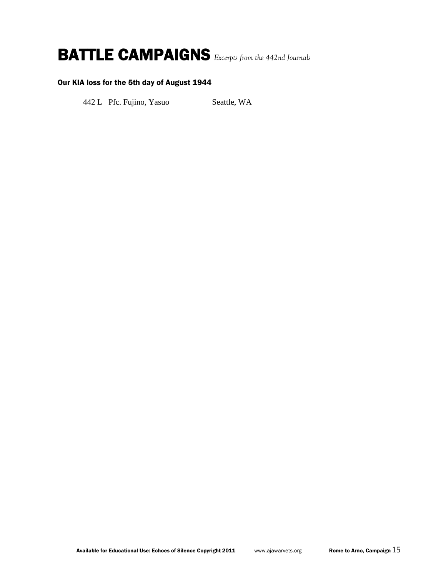### Our KIA loss for the 5th day of August 1944

442 L Pfc. Fujino, Yasuo Seattle, WA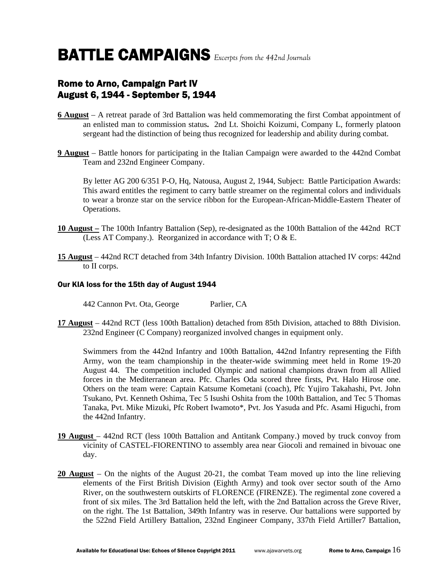### Rome to Arno, Campaign Part IV August 6, 1944 - September 5, 1944

- **6 August** A retreat parade of 3rd Battalion was held commemorating the first Combat appointment of an enlisted man to commission status**.** 2nd Lt. Shoichi Koizumi, Company L, formerly platoon sergeant had the distinction of being thus recognized for leadership and ability during combat.
- **9 August** Battle honors for participating in the Italian Campaign were awarded to the 442nd Combat Team and 232nd Engineer Company.

 By letter AG 200 6/351 P-O, Hq, Natousa, August 2, 1944, Subject: Battle Participation Awards: This award entitles the regiment to carry battle streamer on the regimental colors and individuals to wear a bronze star on the service ribbon for the European-African-Middle-Eastern Theater of Operations.

- **10 August –** The 100th Infantry Battalion (Sep), re-designated as the 100th Battalion of the 442nd RCT (Less AT Company.). Reorganized in accordance with T; O & E.
- **15 August** 442nd RCT detached from 34th Infantry Division. 100th Battalion attached IV corps: 442nd to II corps.

### Our KIA loss for the 15th day of August 1944

442 Cannon Pvt. Ota, George Parlier, CA

**17 August** – 442nd RCT (less 100th Battalion) detached from 85th Division, attached to 88th Division. 232nd Engineer (C Company) reorganized involved changes in equipment only.

 Swimmers from the 442nd Infantry and 100th Battalion, 442nd Infantry representing the Fifth Army, won the team championship in the theater-wide swimming meet held in Rome 19-20 August 44. The competition included Olympic and national champions drawn from all Allied forces in the Mediterranean area. Pfc. Charles Oda scored three firsts, Pvt. Halo Hirose one. Others on the team were: Captain Katsume Kometani (coach), Pfc Yujiro Takahashi, Pvt. John Tsukano, Pvt. Kenneth Oshima, Tec 5 Isushi Oshita from the 100th Battalion, and Tec 5 Thomas Tanaka, Pvt. Mike Mizuki, Pfc Robert Iwamoto\*, Pvt. Jos Yasuda and Pfc. Asami Higuchi, from the 442nd Infantry.

- **19 August**  442nd RCT (less 100th Battalion and Antitank Company.) moved by truck convoy from vicinity of CASTEL-FIORENTINO to assembly area near Giocoli and remained in bivouac one day.
- **20 August** On the nights of the August 20-21, the combat Team moved up into the line relieving elements of the First British Division (Eighth Army) and took over sector south of the Arno River, on the southwestern outskirts of FLORENCE (FIRENZE). The regimental zone covered a front of six miles. The 3rd Battalion held the left, with the 2nd Battalion across the Greve River, on the right. The 1st Battalion, 349th Infantry was in reserve. Our battalions were supported by the 522nd Field Artillery Battalion, 232nd Engineer Company, 337th Field Artiller7 Battalion,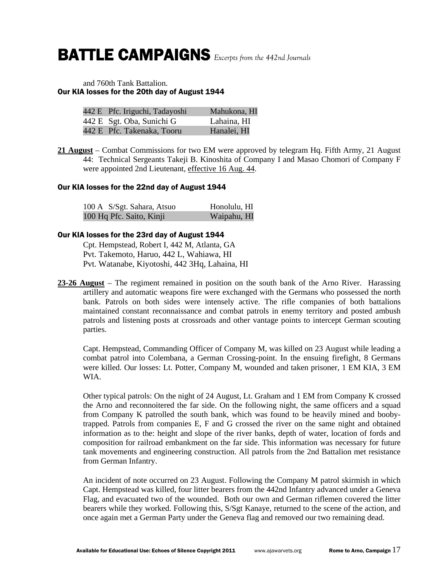#### and 760th Tank Battalion. Our KIA losses for the 20th day of August 1944

| 442 E Pfc. Iriguchi, Tadayoshi | Mahukona, HI |
|--------------------------------|--------------|
| 442 E Sgt. Oba, Sunichi G      | Lahaina, HI  |
| 442 E Pfc. Takenaka, Tooru     | Hanalei, HI  |

**21 August** – Combat Commissions for two EM were approved by telegram Hq. Fifth Army, 21 August 44: Technical Sergeants Takeji B. Kinoshita of Company I and Masao Chomori of Company F were appointed 2nd Lieutenant, effective 16 Aug. 44.

#### Our KIA losses for the 22nd day of August 1944

| 100 A S/Sgt. Sahara, Atsuo | Honolulu, HI |
|----------------------------|--------------|
| 100 Hq Pfc. Saito, Kinji   | Waipahu, HI  |

#### Our KIA losses for the 23rd day of August 1944

 Cpt. Hempstead, Robert I, 442 M, Atlanta, GA Pvt. Takemoto, Haruo, 442 L, Wahiawa, HI Pvt. Watanabe, Kiyotoshi, 442 3Hq, Lahaina, HI

**23-26 August** – The regiment remained in position on the south bank of the Arno River. Harassing artillery and automatic weapons fire were exchanged with the Germans who possessed the north bank. Patrols on both sides were intensely active. The rifle companies of both battalions maintained constant reconnaissance and combat patrols in enemy territory and posted ambush patrols and listening posts at crossroads and other vantage points to intercept German scouting parties.

 Capt. Hempstead, Commanding Officer of Company M, was killed on 23 August while leading a combat patrol into Colembana, a German Crossing-point. In the ensuing firefight, 8 Germans were killed. Our losses: Lt. Potter, Company M, wounded and taken prisoner, 1 EM KIA, 3 EM WIA.

 Other typical patrols: On the night of 24 August, Lt. Graham and 1 EM from Company K crossed the Arno and reconnoitered the far side. On the following night, the same officers and a squad from Company K patrolled the south bank, which was found to be heavily mined and boobytrapped. Patrols from companies E, F and G crossed the river on the same night and obtained information as to the: height and slope of the river banks, depth of water, location of fords and composition for railroad embankment on the far side. This information was necessary for future tank movements and engineering construction. All patrols from the 2nd Battalion met resistance from German Infantry.

 An incident of note occurred on 23 August. Following the Company M patrol skirmish in which Capt. Hempstead was killed, four litter bearers from the 442nd Infantry advanced under a Geneva Flag, and evacuated two of the wounded. Both our own and German riflemen covered the litter bearers while they worked. Following this, S/Sgt Kanaye, returned to the scene of the action, and once again met a German Party under the Geneva flag and removed our two remaining dead.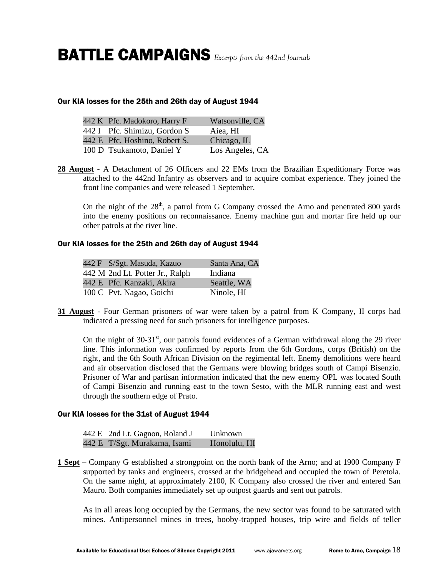#### Our KIA losses for the 25th and 26th day of August 1944

| 442 K Pfc. Madokoro, Harry F  | Watsonville, CA |
|-------------------------------|-----------------|
| 442 I Pfc. Shimizu, Gordon S  | Aiea, HI        |
| 442 E Pfc. Hoshino, Robert S. | Chicago, IL     |
| 100 D Tsukamoto, Daniel Y     | Los Angeles, CA |

**28 August** - A Detachment of 26 Officers and 22 EMs from the Brazilian Expeditionary Force was attached to the 442nd Infantry as observers and to acquire combat experience. They joined the front line companies and were released 1 September.

On the night of the  $28<sup>th</sup>$ , a patrol from G Company crossed the Arno and penetrated 800 yards into the enemy positions on reconnaissance. Enemy machine gun and mortar fire held up our other patrols at the river line.

### Our KIA losses for the 25th and 26th day of August 1944

| 442 F S/Sgt. Masuda, Kazuo      | Santa Ana, CA |
|---------------------------------|---------------|
| 442 M 2nd Lt. Potter Jr., Ralph | Indiana       |
| 442 E Pfc. Kanzaki, Akira       | Seattle, WA   |
| 100 C Pvt. Nagao, Goichi        | Ninole, HI    |

**31 August** - Four German prisoners of war were taken by a patrol from K Company, II corps had indicated a pressing need for such prisoners for intelligence purposes.

On the night of  $30-31<sup>st</sup>$ , our patrols found evidences of a German withdrawal along the 29 river line. This information was confirmed by reports from the 6th Gordons, corps (British) on the right, and the 6th South African Division on the regimental left. Enemy demolitions were heard and air observation disclosed that the Germans were blowing bridges south of Campi Bisenzio. Prisoner of War and partisan information indicated that the new enemy OPL was located South of Campi Bisenzio and running east to the town Sesto, with the MLR running east and west through the southern edge of Prato.

#### Our KIA losses for the 31st of August 1944

| 442 E 2nd Lt. Gagnon, Roland J | Unknown      |
|--------------------------------|--------------|
| 442 E T/Sgt. Murakama, Isami   | Honolulu, HI |

**1 Sept** – Company G established a strongpoint on the north bank of the Arno; and at 1900 Company F supported by tanks and engineers, crossed at the bridgehead and occupied the town of Peretola. On the same night, at approximately 2100, K Company also crossed the river and entered San Mauro. Both companies immediately set up outpost guards and sent out patrols.

 As in all areas long occupied by the Germans, the new sector was found to be saturated with mines. Antipersonnel mines in trees, booby-trapped houses, trip wire and fields of teller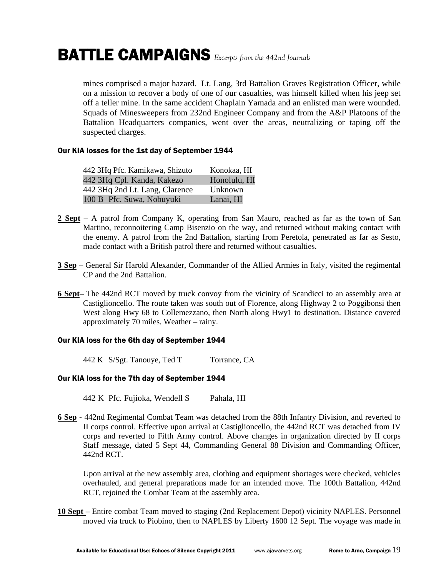mines comprised a major hazard. Lt. Lang, 3rd Battalion Graves Registration Officer, while on a mission to recover a body of one of our casualties, was himself killed when his jeep set off a teller mine. In the same accident Chaplain Yamada and an enlisted man were wounded. Squads of Minesweepers from 232nd Engineer Company and from the A&P Platoons of the Battalion Headquarters companies, went over the areas, neutralizing or taping off the suspected charges.

#### Our KIA losses for the 1st day of September 1944

| 442 3Hq Pfc. Kamikawa, Shizuto | Konokaa, HI  |
|--------------------------------|--------------|
| 442 3Hq Cpl. Kanda, Kakezo     | Honolulu, HI |
| 442 3Hq 2nd Lt. Lang, Clarence | Unknown      |
| 100 B Pfc. Suwa, Nobuyuki      | Lanai, HI    |

- **2 Sept** A patrol from Company K, operating from San Mauro, reached as far as the town of San Martino, reconnoitering Camp Bisenzio on the way, and returned without making contact with the enemy. A patrol from the 2nd Battalion, starting from Peretola, penetrated as far as Sesto, made contact with a British patrol there and returned without casualties.
- **3 Sep** General Sir Harold Alexander, Commander of the Allied Armies in Italy, visited the regimental CP and the 2nd Battalion.
- **6 Sept** The 442nd RCT moved by truck convoy from the vicinity of Scandicci to an assembly area at Castiglioncello. The route taken was south out of Florence, along Highway 2 to Poggibonsi then West along Hwy 68 to Collemezzano, then North along Hwy1 to destination. Distance covered approximately 70 miles. Weather – rainy.

### Our KIA loss for the 6th day of September 1944

442 K S/Sgt. Tanouye, Ted T Torrance, CA

### Our KIA loss for the 7th day of September 1944

- 442 K Pfc. Fujioka, Wendell S Pahala, HI
- **6 Sep** 442nd Regimental Combat Team was detached from the 88th Infantry Division, and reverted to II corps control. Effective upon arrival at Castiglioncello, the 442nd RCT was detached from IV corps and reverted to Fifth Army control. Above changes in organization directed by II corps Staff message, dated 5 Sept 44, Commanding General 88 Division and Commanding Officer, 442nd RCT.

 Upon arrival at the new assembly area, clothing and equipment shortages were checked, vehicles overhauled, and general preparations made for an intended move. The 100th Battalion, 442nd RCT, rejoined the Combat Team at the assembly area.

**10 Sept** – Entire combat Team moved to staging (2nd Replacement Depot) vicinity NAPLES. Personnel moved via truck to Piobino, then to NAPLES by Liberty 1600 12 Sept. The voyage was made in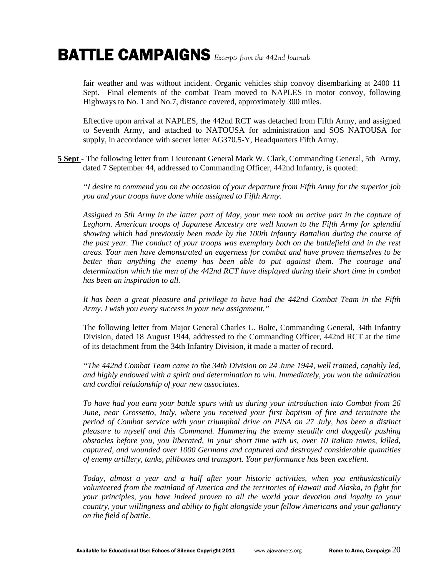fair weather and was without incident. Organic vehicles ship convoy disembarking at 2400 11 Sept. Final elements of the combat Team moved to NAPLES in motor convoy, following Highways to No. 1 and No.7, distance covered, approximately 300 miles.

 Effective upon arrival at NAPLES, the 442nd RCT was detached from Fifth Army, and assigned to Seventh Army, and attached to NATOUSA for administration and SOS NATOUSA for supply, in accordance with secret letter AG370.5-Y, Headquarters Fifth Army.

**5 Sept** - The following letter from Lieutenant General Mark W. Clark, Commanding General, 5th Army, dated 7 September 44, addressed to Commanding Officer, 442nd Infantry, is quoted:

 *"I desire to commend you on the occasion of your departure from Fifth Army for the superior job you and your troops have done while assigned to Fifth Army.* 

 *Assigned to 5th Army in the latter part of May, your men took an active part in the capture of Leghorn. American troops of Japanese Ancestry are well known to the Fifth Army for splendid showing which had previously been made by the 100th Infantry Battalion during the course of the past year. The conduct of your troops was exemplary both on the battlefield and in the rest areas. Your men have demonstrated an eagerness for combat and have proven themselves to be better than anything the enemy has been able to put against them. The courage and determination which the men of the 442nd RCT have displayed during their short time in combat has been an inspiration to all.* 

 *It has been a great pleasure and privilege to have had the 442nd Combat Team in the Fifth Army. I wish you every success in your new assignment."* 

 The following letter from Major General Charles L. Bolte, Commanding General, 34th Infantry Division, dated 18 August 1944, addressed to the Commanding Officer, 442nd RCT at the time of its detachment from the 34th Infantry Division, it made a matter of record.

 *"The 442nd Combat Team came to the 34th Division on 24 June 1944, well trained, capably led, and highly endowed with a spirit and determination to win. Immediately, you won the admiration and cordial relationship of your new associates.* 

 *To have had you earn your battle spurs with us during your introduction into Combat from 26 June, near Grossetto, Italy, where you received your first baptism of fire and terminate the period of Combat service with your triumphal drive on PISA on 27 July, has been a distinct pleasure to myself and this Command. Hammering the enemy steadily and doggedly pushing obstacles before you, you liberated, in your short time with us, over 10 Italian towns, killed, captured, and wounded over 1000 Germans and captured and destroyed considerable quantities of enemy artillery, tanks, pillboxes and transport. Your performance has been excellent.* 

 *Today, almost a year and a half after your historic activities, when you enthusiastically volunteered from the mainland of America and the territories of Hawaii and Alaska, to fight for your principles, you have indeed proven to all the world your devotion and loyalty to your country, your willingness and ability to fight alongside your fellow Americans and your gallantry on the field of battle.*